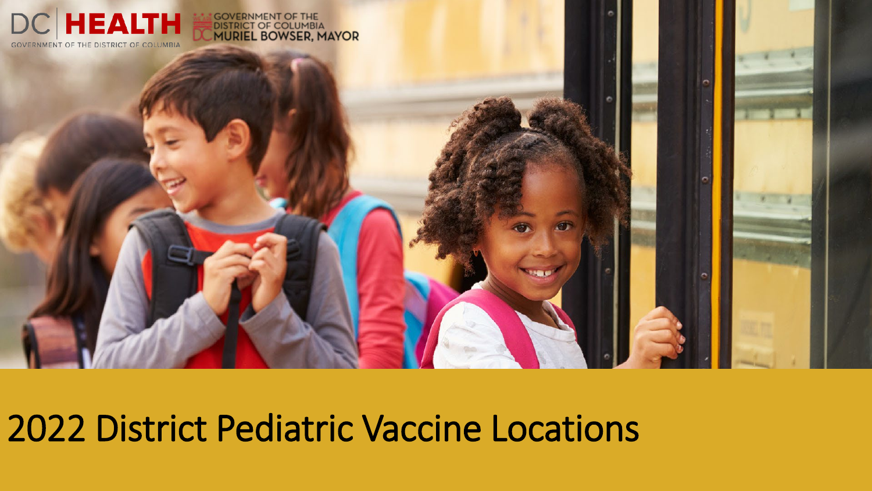

# 2022 District Pediatric Vaccine Locations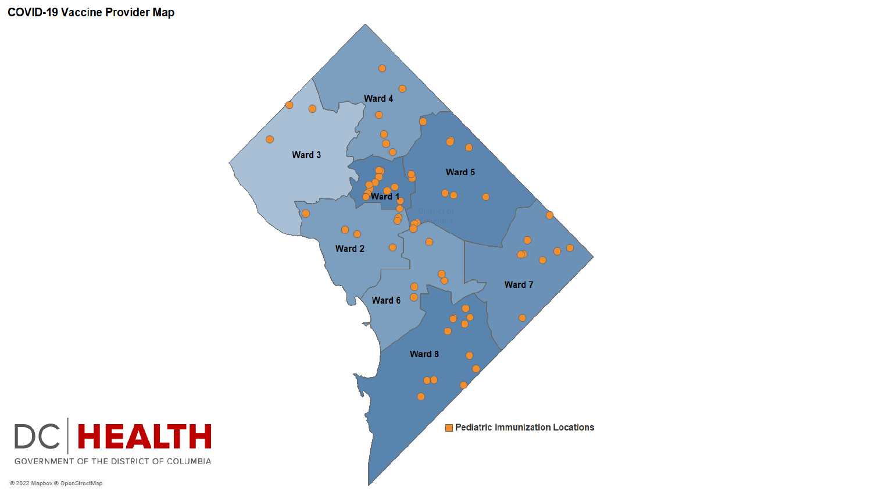#### **COVID-19 Vaccine Provider Map**

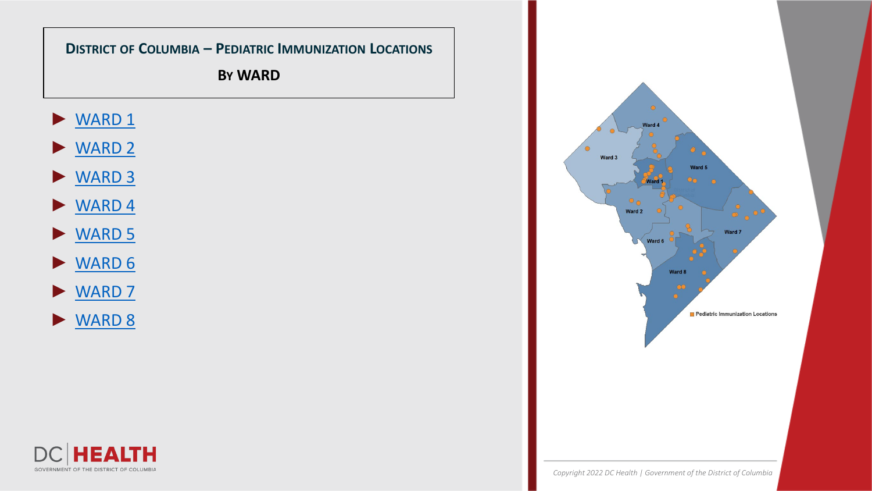

**LTH** 

Е Л

GOVERNMENT OF THE DISTRICT OF COLUMBIA

DC.

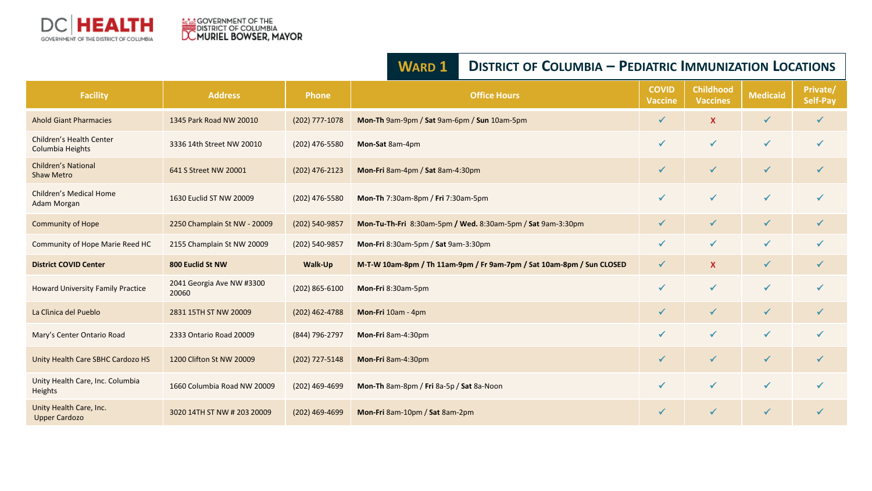<span id="page-3-0"></span>

#### **WARD 1 DISTRICT OF COLUMBIA – PEDIATRIC IMMUNIZATION LOCATIONS**

| <b>Facility</b>                                 | <b>Address</b>                     | <b>Phone</b>     | <b>Office Hours</b>                                                   | <b>COVID</b><br><b>Vaccine</b> | <b>Childhood</b><br><b>Vaccines</b> | <b>Medicaid</b> | Private/<br>Self-Pay |
|-------------------------------------------------|------------------------------------|------------------|-----------------------------------------------------------------------|--------------------------------|-------------------------------------|-----------------|----------------------|
| <b>Ahold Giant Pharmacies</b>                   | 1345 Park Road NW 20010            | (202) 777-1078   | Mon-Th 9am-9pm / Sat 9am-6pm / Sun 10am-5pm                           | ✓                              | $\boldsymbol{\mathsf{X}}$           | $\checkmark$    | $\checkmark$         |
| Children's Health Center<br>Columbia Heights    | 3336 14th Street NW 20010          | (202) 476-5580   | Mon-Sat 8am-4pm                                                       | ✓                              | $\checkmark$                        | $\checkmark$    | $\checkmark$         |
| <b>Children's National</b><br><b>Shaw Metro</b> | 641 S Street NW 20001              | (202) 476-2123   | Mon-Fri 8am-4pm / Sat 8am-4:30pm                                      | ✓                              | $\checkmark$                        | $\checkmark$    | ✓                    |
| <b>Children's Medical Home</b><br>Adam Morgan   | 1630 Euclid ST NW 20009            | (202) 476-5580   | Mon-Th 7:30am-8pm / Fri 7:30am-5pm                                    | $\checkmark$                   | $\checkmark$                        | $\checkmark$    | ✔                    |
| <b>Community of Hope</b>                        | 2250 Champlain St NW - 20009       | (202) 540-9857   | Mon-Tu-Th-Fri 8:30am-5pm / Wed. 8:30am-5pm / Sat 9am-3:30pm           | $\checkmark$                   | $\checkmark$                        | $\checkmark$    | $\checkmark$         |
| Community of Hope Marie Reed HC                 | 2155 Champlain St NW 20009         | (202) 540-9857   | Mon-Fri 8:30am-5pm / Sat 9am-3:30pm                                   | ✓                              | $\checkmark$                        | $\checkmark$    | $\checkmark$         |
| <b>District COVID Center</b>                    | 800 Euclid St NW                   | Walk-Up          | M-T-W 10am-8pm / Th 11am-9pm / Fr 9am-7pm / Sat 10am-8pm / Sun CLOSED | ✓                              | $\mathbf{x}$                        | $\checkmark$    | $\checkmark$         |
| <b>Howard University Family Practice</b>        | 2041 Georgia Ave NW #3300<br>20060 | $(202)$ 865-6100 | Mon-Fri 8:30am-5pm                                                    | ✔                              | $\checkmark$                        | $\checkmark$    | $\checkmark$         |
| La Clinica del Pueblo                           | 2831 15TH ST NW 20009              | (202) 462-4788   | Mon-Fri 10am - 4pm                                                    | $\checkmark$                   | $\checkmark$                        | $\checkmark$    | $\checkmark$         |
| Mary's Center Ontario Road                      | 2333 Ontario Road 20009            | (844) 796-2797   | Mon-Fri 8am-4:30pm                                                    | ✓                              | $\checkmark$                        | $\checkmark$    | ✓                    |
| Unity Health Care SBHC Cardozo HS               | 1200 Clifton St NW 20009           | (202) 727-5148   | Mon-Fri 8am-4:30pm                                                    | $\checkmark$                   | $\checkmark$                        | $\checkmark$    | $\checkmark$         |
| Unity Health Care, Inc. Columbia<br>Heights     | 1660 Columbia Road NW 20009        | $(202)$ 469-4699 | Mon-Th 8am-8pm / Fri 8a-5p / Sat 8a-Noon                              | ✓                              | $\checkmark$                        | $\checkmark$    | ✓                    |
| Unity Health Care, Inc.<br><b>Upper Cardozo</b> | 3020 14TH ST NW # 203 20009        | $(202)$ 469-4699 | Mon-Fri 8am-10pm / Sat 8am-2pm                                        | $\checkmark$                   | $\checkmark$                        | $\checkmark$    | √                    |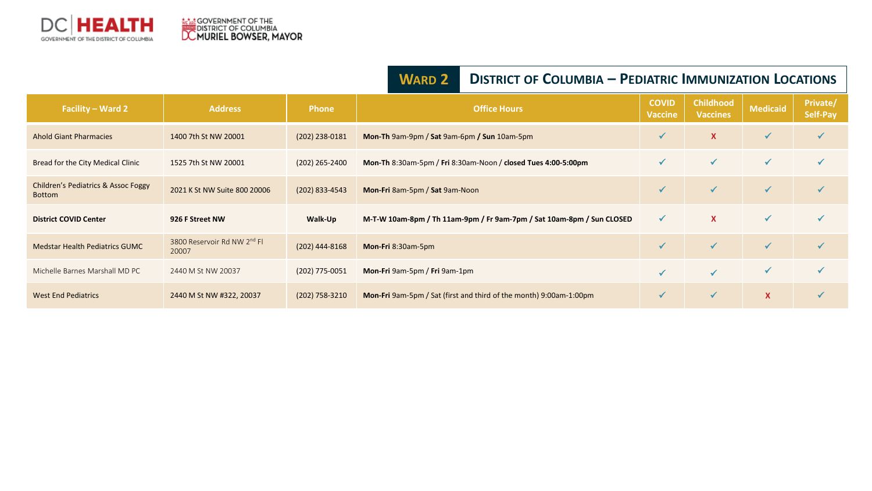<span id="page-4-0"></span>

|                                                      |                                                  |                  | <b>WARD 2</b>                                                         | <b>DISTRICT OF COLUMBIA - PEDIATRIC IMMUNIZATION LOCATIONS</b> |                                     |                 |                      |  |
|------------------------------------------------------|--------------------------------------------------|------------------|-----------------------------------------------------------------------|----------------------------------------------------------------|-------------------------------------|-----------------|----------------------|--|
| Facility – Ward 2                                    | <b>Address</b>                                   | <b>Phone</b>     | <b>Office Hours</b>                                                   | <b>COVID</b><br><b>Vaccine</b>                                 | <b>Childhood</b><br><b>Vaccines</b> | <b>Medicaid</b> | Private/<br>Self-Pay |  |
| <b>Ahold Giant Pharmacies</b>                        | 1400 7th St NW 20001                             | $(202)$ 238-0181 | Mon-Th 9am-9pm / Sat 9am-6pm / Sun 10am-5pm                           | ✔                                                              | $\mathbf{x}$                        | $\checkmark$    | ✔                    |  |
| Bread for the City Medical Clinic                    | 1525 7th St NW 20001                             | $(202)$ 265-2400 | Mon-Th 8:30am-5pm / Fri 8:30am-Noon / closed Tues 4:00-5:00pm         | ✔                                                              | $\checkmark$                        | $\checkmark$    | $\checkmark$         |  |
| Children's Pediatrics & Assoc Foggy<br><b>Bottom</b> | 2021 K St NW Suite 800 20006                     | $(202)$ 833-4543 | Mon-Fri 8am-5pm / Sat 9am-Noon                                        | ✓                                                              | $\checkmark$                        | $\sqrt{}$       | $\checkmark$         |  |
| <b>District COVID Center</b>                         | 926 F Street NW                                  | Walk-Up          | M-T-W 10am-8pm / Th 11am-9pm / Fr 9am-7pm / Sat 10am-8pm / Sun CLOSED | $\checkmark$                                                   | $\mathbf x$                         | $\checkmark$    | $\checkmark$         |  |
| <b>Medstar Health Pediatrics GUMC</b>                | 3800 Reservoir Rd NW 2 <sup>nd</sup> Fl<br>20007 | $(202)$ 444-8168 | Mon-Fri 8:30am-5pm                                                    | ✔                                                              | $\checkmark$                        | $\checkmark$    | $\checkmark$         |  |
| Michelle Barnes Marshall MD PC                       | 2440 M St NW 20037                               | (202) 775-0051   | Mon-Fri 9am-5pm / Fri 9am-1pm                                         |                                                                | $\sqrt{}$                           | $\checkmark$    |                      |  |
| <b>West End Pediatrics</b>                           | 2440 M St NW #322, 20037                         | $(202)$ 758-3210 | Mon-Fri 9am-5pm / Sat (first and third of the month) 9:00am-1:00pm    | $\checkmark$                                                   | $\checkmark$                        | $\mathsf{X}$    |                      |  |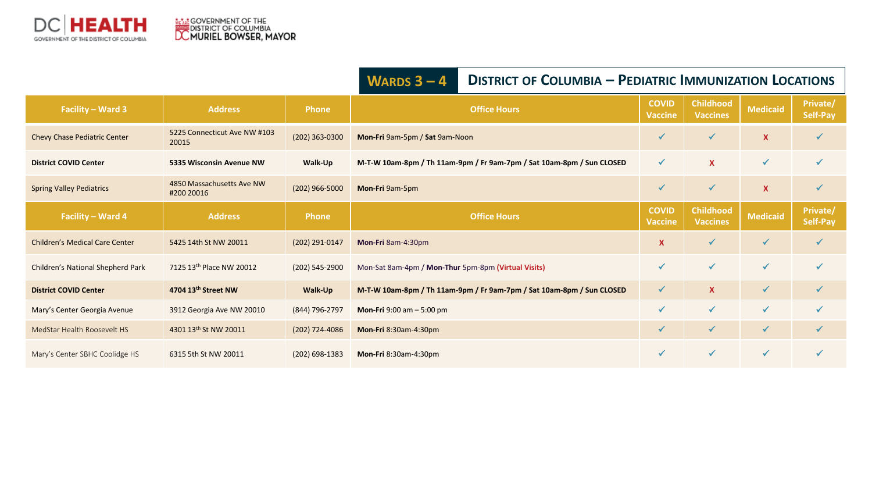

|                                       |                                         |                  | WARDS $3 - 4$                                                         | <b>DISTRICT OF COLUMBIA - PEDIATRIC IMMUNIZATION LOCATIONS</b> |                                     |                           |                      |  |
|---------------------------------------|-----------------------------------------|------------------|-----------------------------------------------------------------------|----------------------------------------------------------------|-------------------------------------|---------------------------|----------------------|--|
| Facility - Ward 3                     | <b>Address</b>                          | <b>Phone</b>     | <b>Office Hours</b>                                                   | <b>COVID</b><br><b>Vaccine</b>                                 | <b>Childhood</b><br><b>Vaccines</b> | <b>Medicaid</b>           | Private/<br>Self-Pay |  |
| Chevy Chase Pediatric Center          | 5225 Connecticut Ave NW #103<br>20015   | $(202)$ 363-0300 | Mon-Fri 9am-5pm / Sat 9am-Noon                                        | ✓                                                              | $\checkmark$                        | $\boldsymbol{\mathsf{x}}$ | ✔                    |  |
| <b>District COVID Center</b>          | 5335 Wisconsin Avenue NW                | Walk-Up          | M-T-W 10am-8pm / Th 11am-9pm / Fr 9am-7pm / Sat 10am-8pm / Sun CLOSED | $\checkmark$                                                   | $\mathbf{x}$                        | $\checkmark$              | $\checkmark$         |  |
| <b>Spring Valley Pediatrics</b>       | 4850 Massachusetts Ave NW<br>#200 20016 | $(202)$ 966-5000 | Mon-Fri 9am-5pm                                                       | $\checkmark$                                                   | $\checkmark$                        | $\boldsymbol{\mathsf{x}}$ | $\checkmark$         |  |
| Facility - Ward 4                     | <b>Address</b>                          | <b>Phone</b>     | <b>Office Hours</b>                                                   | <b>COVID</b><br><b>Vaccine</b>                                 | <b>Childhood</b><br><b>Vaccines</b> | <b>Medicaid</b>           | Private/<br>Self-Pay |  |
| <b>Children's Medical Care Center</b> | 5425 14th St NW 20011                   | (202) 291-0147   | Mon-Fri 8am-4:30pm                                                    | X                                                              | $\checkmark$                        | $\checkmark$              | $\checkmark$         |  |
| Children's National Shepherd Park     | 7125 13th Place NW 20012                | $(202)$ 545-2900 | Mon-Sat 8am-4pm / Mon-Thur 5pm-8pm (Virtual Visits)                   | $\checkmark$                                                   | $\checkmark$                        | $\checkmark$              | $\checkmark$         |  |
| <b>District COVID Center</b>          | 4704 13th Street NW                     | Walk-Up          | M-T-W 10am-8pm / Th 11am-9pm / Fr 9am-7pm / Sat 10am-8pm / Sun CLOSED | $\checkmark$                                                   | $\mathbf{x}$                        | $\checkmark$              | $\checkmark$         |  |
| Mary's Center Georgia Avenue          | 3912 Georgia Ave NW 20010               | (844) 796-2797   | <b>Mon-Fri</b> 9:00 am $-$ 5:00 pm                                    | ✓                                                              | $\checkmark$                        | $\checkmark$              | $\checkmark$         |  |
| MedStar Health Roosevelt HS           | 4301 13th St NW 20011                   | $(202)$ 724-4086 | Mon-Fri 8:30am-4:30pm                                                 | $\checkmark$                                                   | $\checkmark$                        | $\checkmark$              | $\checkmark$         |  |
| Mary's Center SBHC Coolidge HS        | 6315 5th St NW 20011                    | (202) 698-1383   | Mon-Fri 8:30am-4:30pm                                                 | $\checkmark$                                                   | $\checkmark$                        | $\checkmark$              | √                    |  |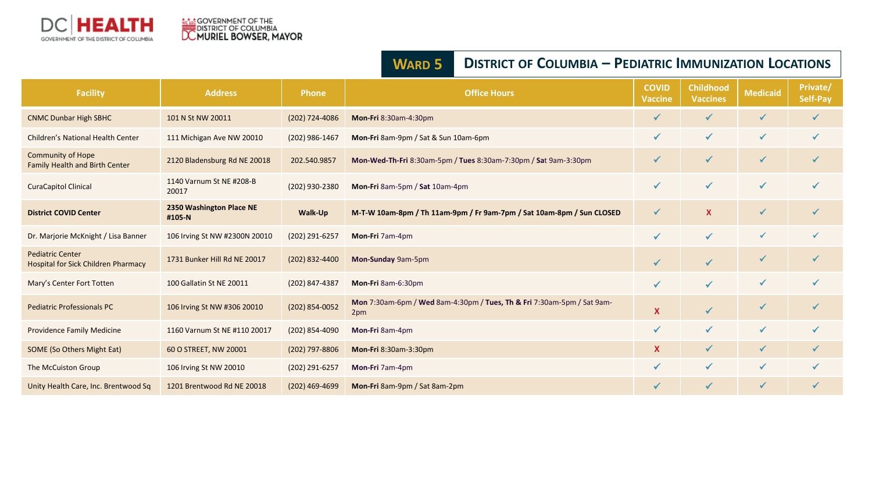<span id="page-6-0"></span>

|                                                                       |                                    | <u>I LUIAINIC IIVIIVIUNIZAITUN LUCAITUNJ</u> |                                                                               |                                |                                     |              |                             |
|-----------------------------------------------------------------------|------------------------------------|----------------------------------------------|-------------------------------------------------------------------------------|--------------------------------|-------------------------------------|--------------|-----------------------------|
| <b>Facility</b>                                                       | <b>Address</b>                     | <b>Phone</b>                                 | <b>Office Hours</b>                                                           | <b>COVID</b><br><b>Vaccine</b> | <b>Childhood</b><br><b>Vaccines</b> | Medicaid     | <b>Private/</b><br>Self-Pay |
| <b>CNMC Dunbar High SBHC</b>                                          | 101 N St NW 20011                  | (202) 724-4086                               | Mon-Fri 8:30am-4:30pm                                                         |                                |                                     | $\checkmark$ | $\checkmark$                |
| Children's National Health Center                                     | 111 Michigan Ave NW 20010          | (202) 986-1467                               | Mon-Fri 8am-9pm / Sat & Sun 10am-6pm                                          | ✓                              | $\checkmark$                        | $\checkmark$ | $\checkmark$                |
| <b>Community of Hope</b><br>Family Health and Birth Center            | 2120 Bladensburg Rd NE 20018       | 202.540.9857                                 | Mon-Wed-Th-Fri 8:30am-5pm / Tues 8:30am-7:30pm / Sat 9am-3:30pm               | ✓                              | $\checkmark$                        | $\checkmark$ | $\checkmark$                |
| <b>CuraCapitol Clinical</b>                                           | 1140 Varnum St NE #208-B<br>20017  | (202) 930-2380                               | Mon-Fri 8am-5pm / Sat 10am-4pm                                                | ✓                              | ✔                                   | $\checkmark$ |                             |
| <b>District COVID Center</b>                                          | 2350 Washington Place NE<br>#105-N | Walk-Up                                      | M-T-W 10am-8pm / Th 11am-9pm / Fr 9am-7pm / Sat 10am-8pm / Sun CLOSED         | ✓                              | <b>X</b>                            | $\checkmark$ | √                           |
| Dr. Marjorie McKnight / Lisa Banner                                   | 106 Irving St NW #2300N 20010      | (202) 291-6257                               | Mon-Fri 7am-4pm                                                               | ✓                              | $\checkmark$                        | ✓            | $\checkmark$                |
| <b>Pediatric Center</b><br><b>Hospital for Sick Children Pharmacy</b> | 1731 Bunker Hill Rd NE 20017       | (202) 832-4400                               | Mon-Sunday 9am-5pm                                                            | ✓                              | $\checkmark$                        | $\checkmark$ | ✓                           |
| Mary's Center Fort Totten                                             | 100 Gallatin St NE 20011           | (202) 847-4387                               | Mon-Fri 8am-6:30pm                                                            | ✓                              | ✓                                   | ✔            | ✔                           |
| <b>Pediatric Professionals PC</b>                                     | 106 Irving St NW #306 20010        | (202) 854-0052                               | Mon 7:30am-6pm / Wed 8am-4:30pm / Tues, Th & Fri 7:30am-5pm / Sat 9am-<br>2pm | X                              | $\checkmark$                        | $\checkmark$ | ✓                           |
| <b>Providence Family Medicine</b>                                     | 1160 Varnum St NE #110 20017       | (202) 854-4090                               | Mon-Fri 8am-4pm                                                               | ✓                              | ✓                                   | $\checkmark$ | ✓                           |
| SOME (So Others Might Eat)                                            | 60 O STREET, NW 20001              | $(202)$ 797-8806                             | Mon-Fri 8:30am-3:30pm                                                         | <b>X</b>                       | $\checkmark$                        | $\checkmark$ | $\checkmark$                |
| The McCuiston Group                                                   | 106 Irving St NW 20010             | (202) 291-6257                               | Mon-Fri 7am-4pm                                                               | ✓                              | ✓                                   | ✓            | ✓                           |
| Unity Health Care, Inc. Brentwood Sq                                  | 1201 Brentwood Rd NE 20018         | $(202)$ 469-4699                             | Mon-Fri 8am-9pm / Sat 8am-2pm                                                 | $\checkmark$                   | ✓                                   | $\checkmark$ | $\checkmark$                |

#### **WARD 5 DISTRICT OF COLUMBIA – PEDIATRIC IMMUNIZATION LOCATIONS**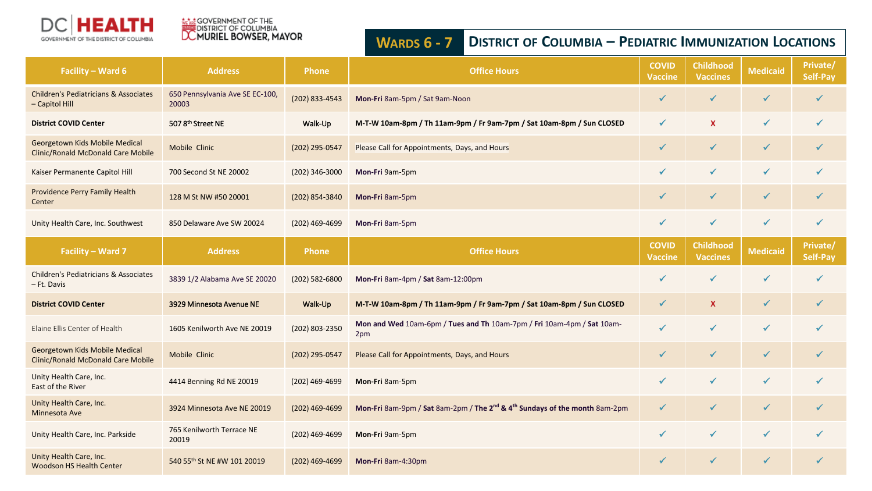<span id="page-7-0"></span>

## **AGAI GOVERNMENT OF THE**<br>DISTRICT OF COLUMBIA<br><mark>DC MURIEL BOWSER, MAYOR</mark>

### **WARDS 6 - 7 DISTRICT OF COLUMBIA – PEDIATRIC IMMUNIZATION LOCATIONS**

| Facility - Ward 6                                                    | <b>Address</b>                           | <b>Phone</b>   | <b>Office Hours</b>                                                                                | <b>COVID</b><br><b>Vaccine</b> | <b>Childhood</b><br><b>Vaccines</b> | <b>Medicaid</b> | Private/<br>Self-Pay |
|----------------------------------------------------------------------|------------------------------------------|----------------|----------------------------------------------------------------------------------------------------|--------------------------------|-------------------------------------|-----------------|----------------------|
| <b>Children's Pediatricians &amp; Associates</b><br>- Capitol Hill   | 650 Pennsylvania Ave SE EC-100,<br>20003 | (202) 833-4543 | Mon-Fri 8am-5pm / Sat 9am-Noon                                                                     | $\checkmark$                   |                                     | $\checkmark$    | ✓                    |
| <b>District COVID Center</b>                                         | 5078th Street NE                         | Walk-Up        | M-T-W 10am-8pm / Th 11am-9pm / Fr 9am-7pm / Sat 10am-8pm / Sun CLOSED                              | $\checkmark$                   | $\mathbf x$                         | $\checkmark$    | ✓                    |
| Georgetown Kids Mobile Medical<br>Clinic/Ronald McDonald Care Mobile | Mobile Clinic                            | (202) 295-0547 | Please Call for Appointments, Days, and Hours                                                      | $\checkmark$                   | $\checkmark$                        | $\checkmark$    | $\checkmark$         |
| Kaiser Permanente Capitol Hill                                       | 700 Second St NE 20002                   | (202) 346-3000 | Mon-Fri 9am-5pm                                                                                    | $\checkmark$                   | $\checkmark$                        | $\checkmark$    | $\checkmark$         |
| Providence Perry Family Health<br>Center                             | 128 M St NW #50 20001                    | (202) 854-3840 | Mon-Fri 8am-5pm                                                                                    | $\checkmark$                   | $\checkmark$                        | $\checkmark$    | ✓                    |
| Unity Health Care, Inc. Southwest                                    | 850 Delaware Ave SW 20024                | (202) 469-4699 | Mon-Fri 8am-5pm                                                                                    | ✓                              | ✓                                   | $\checkmark$    | ✓                    |
| Facility - Ward 7                                                    | <b>Address</b>                           | <b>Phone</b>   | <b>Office Hours</b>                                                                                | <b>COVID</b><br><b>Vaccine</b> | <b>Childhood</b><br><b>Vaccines</b> | <b>Medicaid</b> | Private/<br>Self-Pay |
| <b>Children's Pediatricians &amp; Associates</b><br>- Ft. Davis      | 3839 1/2 Alabama Ave SE 20020            | (202) 582-6800 | Mon-Fri 8am-4pm / Sat 8am-12:00pm                                                                  | ✓                              | √                                   | $\checkmark$    | ✔                    |
| <b>District COVID Center</b>                                         | 3929 Minnesota Avenue NE                 | Walk-Up        | M-T-W 10am-8pm / Th 11am-9pm / Fr 9am-7pm / Sat 10am-8pm / Sun CLOSED                              | $\checkmark$                   | X                                   | $\checkmark$    | $\checkmark$         |
| Elaine Ellis Center of Health                                        | 1605 Kenilworth Ave NE 20019             | (202) 803-2350 | Mon and Wed 10am-6pm / Tues and Th 10am-7pm / Fri 10am-4pm / Sat 10am-<br>2pm                      | $\checkmark$                   | $\checkmark$                        | $\checkmark$    | ✓                    |
| Georgetown Kids Mobile Medical<br>Clinic/Ronald McDonald Care Mobile | Mobile Clinic                            | (202) 295-0547 | Please Call for Appointments, Days, and Hours                                                      | $\checkmark$                   | $\checkmark$                        | $\checkmark$    | ✓                    |
| Unity Health Care, Inc.<br>East of the River                         | 4414 Benning Rd NE 20019                 | (202) 469-4699 | Mon-Fri 8am-5pm                                                                                    | $\checkmark$                   | $\checkmark$                        | $\checkmark$    | ✓                    |
| Unity Health Care, Inc.<br>Minnesota Ave                             | 3924 Minnesota Ave NE 20019              | (202) 469-4699 | Mon-Fri 8am-9pm / Sat 8am-2pm / The 2 <sup>nd</sup> & 4 <sup>th</sup> Sundays of the month 8am-2pm | $\checkmark$                   | $\checkmark$                        | $\checkmark$    | $\checkmark$         |
| Unity Health Care, Inc. Parkside                                     | 765 Kenilworth Terrace NE<br>20019       | (202) 469-4699 | Mon-Fri 9am-5pm                                                                                    | $\checkmark$                   | ✓                                   | $\checkmark$    | ✓                    |
| Unity Health Care, Inc.<br><b>Woodson HS Health Center</b>           | 540 55th St NE #W 101 20019              | (202) 469-4699 | Mon-Fri 8am-4:30pm                                                                                 | $\checkmark$                   | √                                   | $\checkmark$    |                      |